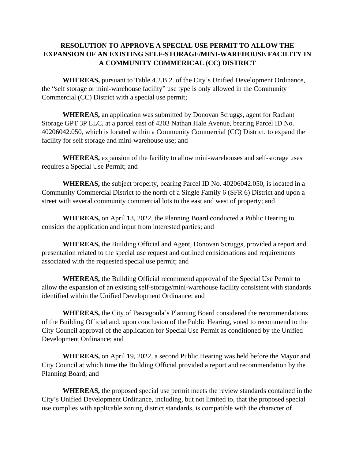## **RESOLUTION TO APPROVE A SPECIAL USE PERMIT TO ALLOW THE EXPANSION OF AN EXISTING SELF-STORAGE/MINI-WAREHOUSE FACILITY IN A COMMUNITY COMMERICAL (CC) DISTRICT**

**WHEREAS,** pursuant to Table 4.2.B.2. of the City's Unified Development Ordinance, the "self storage or mini-warehouse facility" use type is only allowed in the Community Commercial (CC) District with a special use permit;

**WHEREAS,** an application was submitted by Donovan Scruggs, agent for Radiant Storage GPT 3P LLC, at a parcel east of 4203 Nathan Hale Avenue, bearing Parcel ID No. 40206042.050, which is located within a Community Commercial (CC) District, to expand the facility for self storage and mini-warehouse use; and

**WHEREAS,** expansion of the facility to allow mini-warehouses and self-storage uses requires a Special Use Permit; and

**WHEREAS,** the subject property, bearing Parcel ID No. 40206042.050, is located in a Community Commercial District to the north of a Single Family 6 (SFR 6) District and upon a street with several community commercial lots to the east and west of property; and

**WHEREAS,** on April 13, 2022, the Planning Board conducted a Public Hearing to consider the application and input from interested parties; and

**WHEREAS,** the Building Official and Agent, Donovan Scruggs, provided a report and presentation related to the special use request and outlined considerations and requirements associated with the requested special use permit; and

**WHEREAS,** the Building Official recommend approval of the Special Use Permit to allow the expansion of an existing self-storage/mini-warehouse facility consistent with standards identified within the Unified Development Ordinance; and

**WHEREAS,** the City of Pascagoula's Planning Board considered the recommendations of the Building Official and, upon conclusion of the Public Hearing, voted to recommend to the City Council approval of the application for Special Use Permit as conditioned by the Unified Development Ordinance; and

**WHEREAS,** on April 19, 2022, a second Public Hearing was held before the Mayor and City Council at which time the Building Official provided a report and recommendation by the Planning Board; and

**WHEREAS,** the proposed special use permit meets the review standards contained in the City's Unified Development Ordinance, including, but not limited to, that the proposed special use complies with applicable zoning district standards, is compatible with the character of